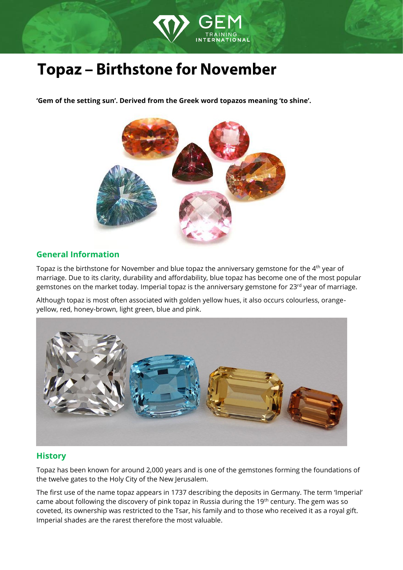

# **Topaz - Birthstone for November**

**'Gem of the setting sun'. Derived from the Greek word topazos meaning 'to shine'.**



# **General Information**

Topaz is the birthstone for November and blue topaz the anniversary gemstone for the 4<sup>th</sup> year of marriage. Due to its clarity, durability and affordability, blue topaz has become one of the most popular gemstones on the market today. Imperial topaz is the anniversary gemstone for  $23<sup>rd</sup>$  year of marriage.

Although topaz is most often associated with golden yellow hues, it also occurs colourless, orangeyellow, red, honey-brown, light green, blue and pink.



### **History**

Topaz has been known for around 2,000 years and is one of the gemstones forming the foundations of the twelve gates to the Holy City of the New Jerusalem.

The first use of the name topaz appears in 1737 describing the deposits in Germany. The term 'Imperial' came about following the discovery of pink topaz in Russia during the 19<sup>th</sup> century. The gem was so coveted, its ownership was restricted to the Tsar, his family and to those who received it as a royal gift. Imperial shades are the rarest therefore the most valuable.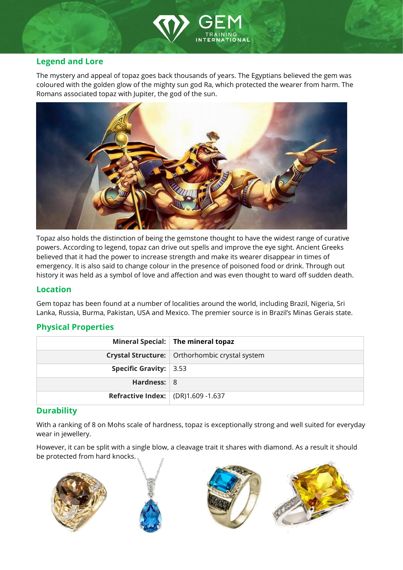

### **Legend and Lore**

The mystery and appeal of topaz goes back thousands of years. The Egyptians believed the gem was coloured with the golden glow of the mighty sun god Ra, which protected the wearer from harm. The Romans associated topaz with Jupiter, the god of the sun.



Topaz also holds the distinction of being the gemstone thought to have the widest range of curative powers. According to legend, topaz can drive out spells and improve the eye sight. Ancient Greeks believed that it had the power to increase strength and make its wearer disappear in times of emergency. It is also said to change colour in the presence of poisoned food or drink. Through out history it was held as a symbol of love and affection and was even thought to ward off sudden death.

#### **Location**

Gem topaz has been found at a number of localities around the world, including Brazil, Nigeria, Sri Lanka, Russia, Burma, Pakistan, USA and Mexico. The premier source is in Brazil's Minas Gerais state.

#### **Physical Properties**

|                                           | Mineral Special: The mineral topaz               |
|-------------------------------------------|--------------------------------------------------|
|                                           | Crystal Structure:   Orthorhombic crystal system |
| Specific Gravity: $ 3.53 $                |                                                  |
| Hardness: $8$                             |                                                  |
| <b>Refractive Index:</b> (DR)1.609 -1.637 |                                                  |

#### **Durability**

With a ranking of 8 on Mohs scale of hardness, topaz is exceptionally strong and well suited for everyday wear in jewellery.

However, it can be split with a single blow, a cleavage trait it shares with diamond. As a result it should be protected from hard knocks.